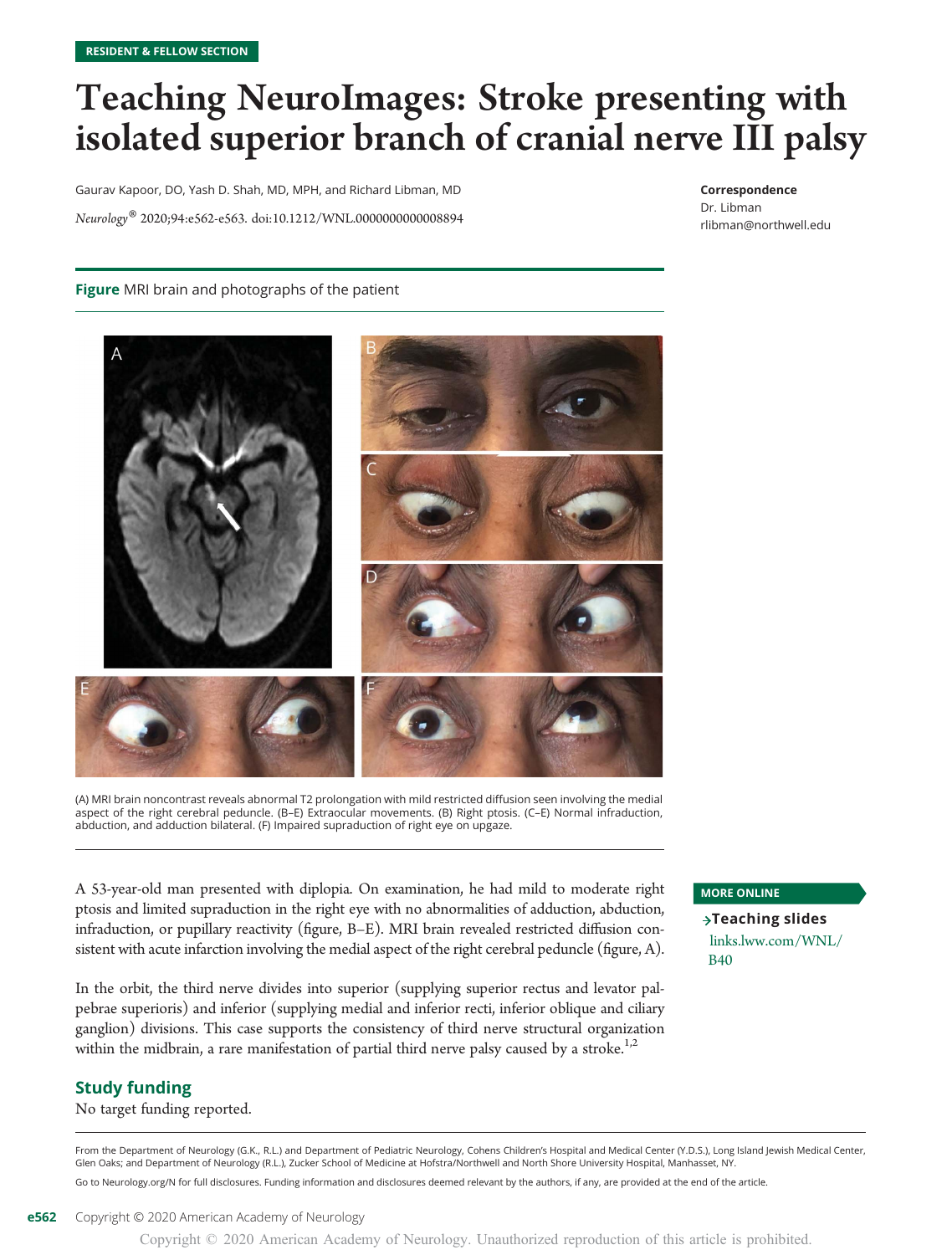## Teaching NeuroImages: Stroke presenting with isolated superior branch of cranial nerve III palsy

Gaurav Kapoor, DO, Yash D. Shah, MD, MPH, and Richard Libman, MD Neurology® 2020;94:e562-e563. doi[:10.1212/WNL.0000000000008894](http://dx.doi.org/10.1212/WNL.0000000000008894)

#### Correspondence

Dr. Libman [rlibman@northwell.edu](mailto:rlibman@northwell.edu)

### Figure MRI brain and photographs of the patient



<sup>(</sup>A) MRI brain noncontrast reveals abnormal T2 prolongation with mild restricted diffusion seen involving the medial aspect of the right cerebral peduncle. (B–E) Extraocular movements. (B) Right ptosis. (C–E) Normal infraduction, abduction, and adduction bilateral. (F) Impaired supraduction of right eye on upgaze.

A 53-year-old man presented with diplopia. On examination, he had mild to moderate right ptosis and limited supraduction in the right eye with no abnormalities of adduction, abduction, infraduction, or pupillary reactivity (figure, B–E). MRI brain revealed restricted diffusion consistent with acute infarction involving the medial aspect of the right cerebral peduncle (figure, A).

In the orbit, the third nerve divides into superior (supplying superior rectus and levator palpebrae superioris) and inferior (supplying medial and inferior recti, inferior oblique and ciliary ganglion) divisions. This case supports the consistency of third nerve structural organization within the midbrain, a rare manifestation of partial third nerve palsy caused by a stroke.<sup>1,2</sup>

## Study funding

No target funding reported.

## MORE ONLINE

 $\rightarrow$ Teaching slides [links.lww.com/WNL/](http://links.lww.com/WNL/B40) [B40](http://links.lww.com/WNL/B40)

From the Department of Neurology (G.K., R.L.) and Department of Pediatric Neurology, Cohens Children's Hospital and Medical Center (Y.D.S.), Long Island Jewish Medical Center, Glen Oaks; and Department of Neurology (R.L.), Zucker School of Medicine at Hofstra/Northwell and North Shore University Hospital, Manhasset, NY.

Go to [Neurology.org/N](https://n.neurology.org/lookup/doi/10.1212/WNL.0000000000008894) for full disclosures. Funding information and disclosures deemed relevant by the authors, if any, are provided at the end of the article.

Copyright © 2020 American Academy of Neurology. Unauthorized reproduction of this article is prohibited.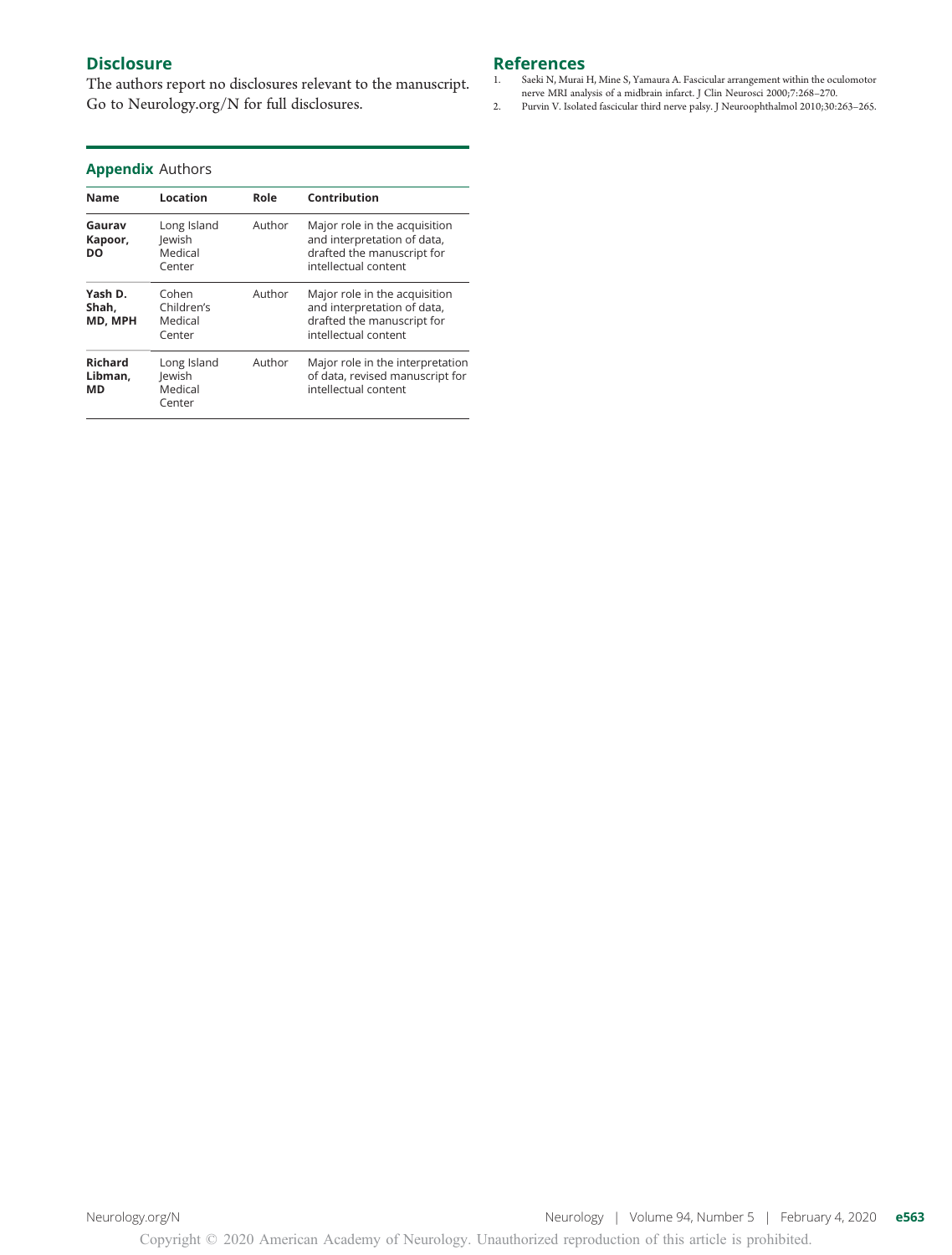## **Disclosure**

The authors report no disclosures relevant to the manuscript. Go to [Neurology.org/N](https://n.neurology.org/lookup/doi/10.1212/WNL.0000000000008894) for full disclosures.

## References<br>1. Saeki N, Murai l

- Saeki N, Murai H, Mine S, Yamaura A. Fascicular arrangement within the oculomotor nerve MRI analysis of a midbrain infarct. J Clin Neurosci 2000;7:268–270.
- 2. Purvin V. Isolated fascicular third nerve palsy. J Neuroophthalmol 2010;30:263–265.

## Appendix Authors

| <b>Name</b>                     | Location                                   | Role   | Contribution                                                                                                       |
|---------------------------------|--------------------------------------------|--------|--------------------------------------------------------------------------------------------------------------------|
| Gaurav<br>Kapoor,<br>DO         | Long Island<br>lewish<br>Medical<br>Center | Author | Major role in the acquisition<br>and interpretation of data,<br>drafted the manuscript for<br>intellectual content |
| Yash D.<br>Shah.<br>MD, MPH     | Cohen<br>Children's<br>Medical<br>Center   | Author | Major role in the acquisition<br>and interpretation of data,<br>drafted the manuscript for<br>intellectual content |
| <b>Richard</b><br>Libman,<br>МD | Long Island<br>lewish<br>Medical<br>Center | Author | Major role in the interpretation<br>of data, revised manuscript for<br>intellectual content                        |